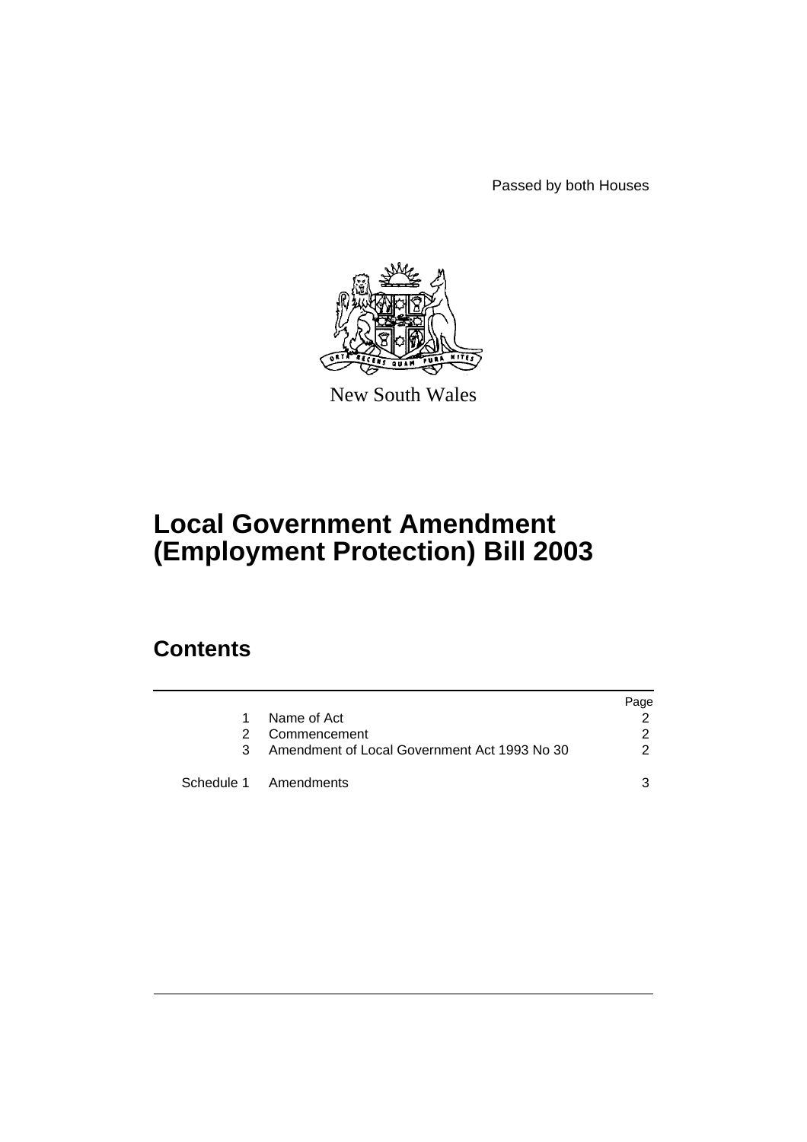Passed by both Houses



New South Wales

# **Local Government Amendment (Employment Protection) Bill 2003**

## **Contents**

|               |                                                | Page |
|---------------|------------------------------------------------|------|
| 1.            | Name of Act                                    |      |
| $\mathcal{P}$ | Commencement                                   | 2    |
|               | 3 Amendment of Local Government Act 1993 No 30 | 2    |
|               | Schedule 1 Amendments                          | ર    |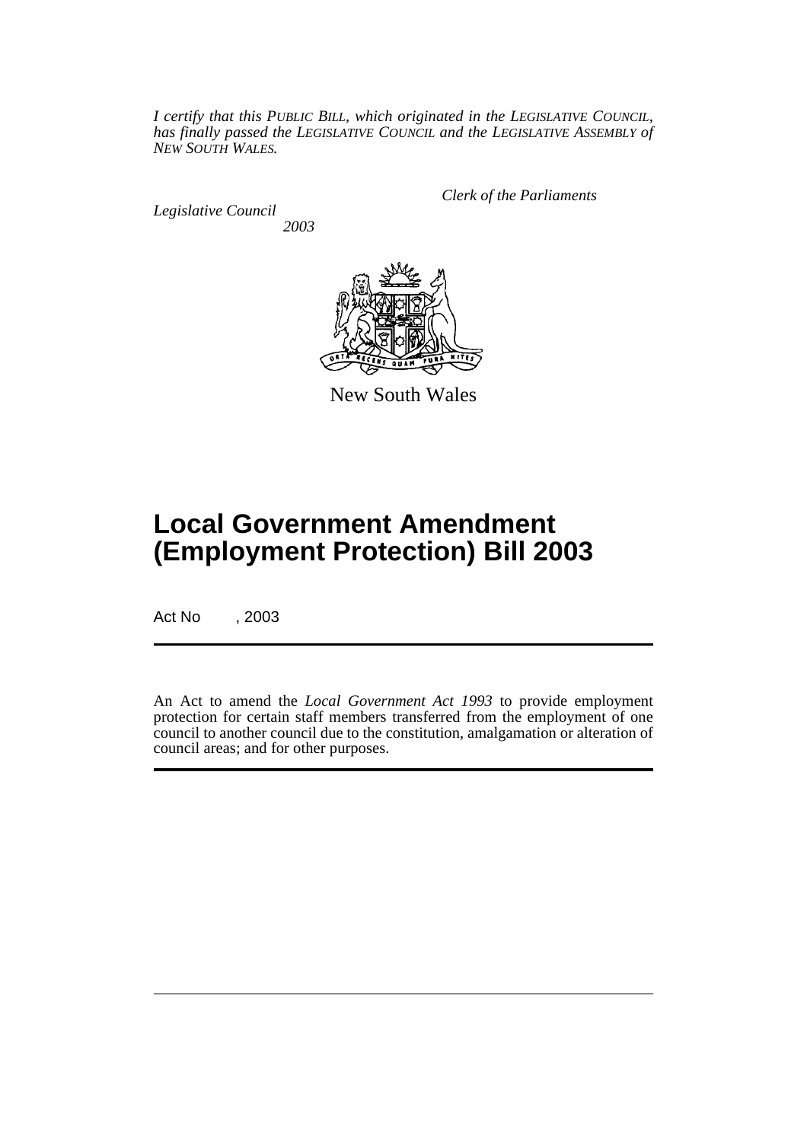*I certify that this PUBLIC BILL, which originated in the LEGISLATIVE COUNCIL, has finally passed the LEGISLATIVE COUNCIL and the LEGISLATIVE ASSEMBLY of NEW SOUTH WALES.*

*Legislative Council 2003* *Clerk of the Parliaments*



New South Wales

# **Local Government Amendment (Employment Protection) Bill 2003**

Act No , 2003

An Act to amend the *Local Government Act 1993* to provide employment protection for certain staff members transferred from the employment of one council to another council due to the constitution, amalgamation or alteration of council areas; and for other purposes.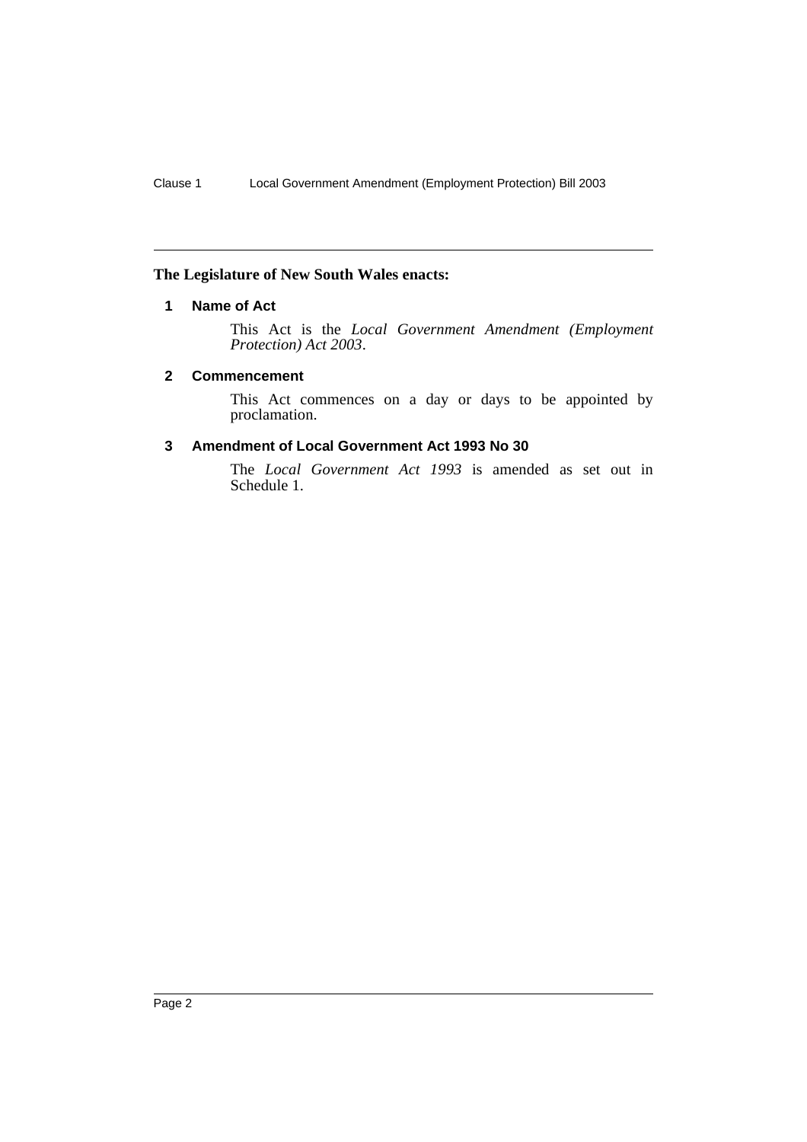#### <span id="page-2-0"></span>**The Legislature of New South Wales enacts:**

#### **1 Name of Act**

This Act is the *Local Government Amendment (Employment Protection) Act 2003*.

#### <span id="page-2-1"></span>**2 Commencement**

This Act commences on a day or days to be appointed by proclamation.

#### <span id="page-2-2"></span>**3 Amendment of Local Government Act 1993 No 30**

The *Local Government Act 1993* is amended as set out in Schedule 1.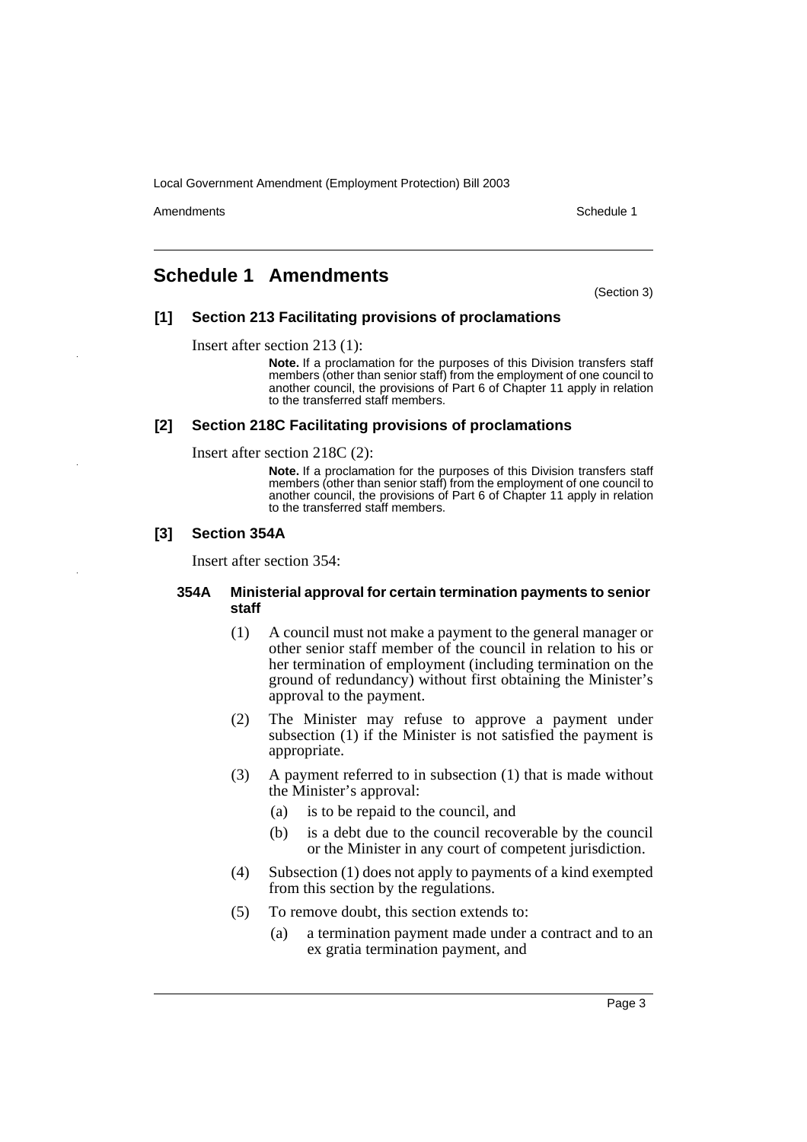Amendments **Schedule 1** and the set of the set of the set of the set of the set of the set of the set of the set of the set of the set of the set of the set of the set of the set of the set of the set of the set of the set

### <span id="page-3-0"></span>**Schedule 1 Amendments**

(Section 3)

#### **[1] Section 213 Facilitating provisions of proclamations**

Insert after section 213 (1):

**Note.** If a proclamation for the purposes of this Division transfers staff members (other than senior staff) from the employment of one council to another council, the provisions of Part 6 of Chapter 11 apply in relation to the transferred staff members.

#### **[2] Section 218C Facilitating provisions of proclamations**

Insert after section 218C (2):

**Note.** If a proclamation for the purposes of this Division transfers staff members (other than senior staff) from the employment of one council to another council, the provisions of Part 6 of Chapter 11 apply in relation to the transferred staff members.

#### **[3] Section 354A**

Insert after section 354:

#### **354A Ministerial approval for certain termination payments to senior staff**

- (1) A council must not make a payment to the general manager or other senior staff member of the council in relation to his or her termination of employment (including termination on the ground of redundancy) without first obtaining the Minister's approval to the payment.
- (2) The Minister may refuse to approve a payment under subsection (1) if the Minister is not satisfied the payment is appropriate.
- (3) A payment referred to in subsection (1) that is made without the Minister's approval:
	- (a) is to be repaid to the council, and
	- (b) is a debt due to the council recoverable by the council or the Minister in any court of competent jurisdiction.
- (4) Subsection (1) does not apply to payments of a kind exempted from this section by the regulations.
- (5) To remove doubt, this section extends to:
	- (a) a termination payment made under a contract and to an ex gratia termination payment, and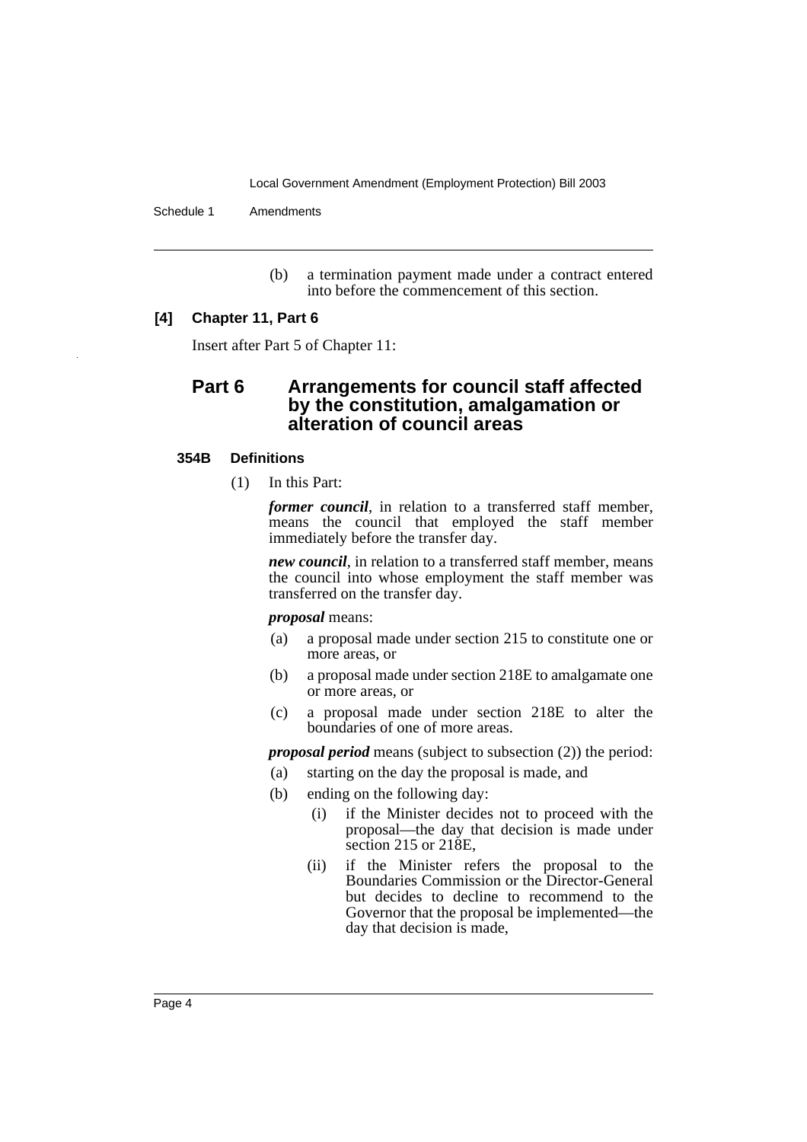Schedule 1 Amendments

(b) a termination payment made under a contract entered into before the commencement of this section.

#### **[4] Chapter 11, Part 6**

Insert after Part 5 of Chapter 11:

### **Part 6 Arrangements for council staff affected by the constitution, amalgamation or alteration of council areas**

#### **354B Definitions**

(1) In this Part:

*former council*, in relation to a transferred staff member, means the council that employed the staff member immediately before the transfer day.

*new council*, in relation to a transferred staff member, means the council into whose employment the staff member was transferred on the transfer day.

*proposal* means:

- (a) a proposal made under section 215 to constitute one or more areas, or
- (b) a proposal made under section 218E to amalgamate one or more areas, or
- (c) a proposal made under section 218E to alter the boundaries of one of more areas.

*proposal period* means (subject to subsection (2)) the period:

- (a) starting on the day the proposal is made, and
- (b) ending on the following day:
	- (i) if the Minister decides not to proceed with the proposal—the day that decision is made under section 215 or 218E,
	- (ii) if the Minister refers the proposal to the Boundaries Commission or the Director-General but decides to decline to recommend to the Governor that the proposal be implemented—the day that decision is made,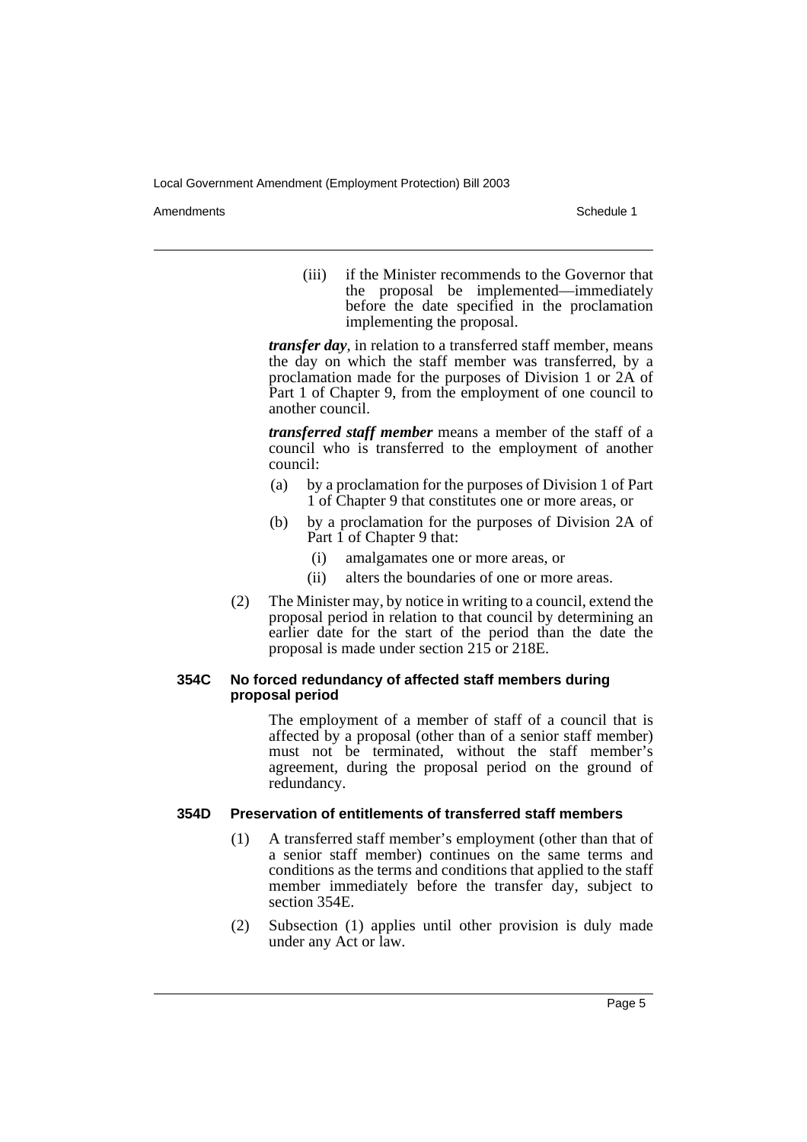Amendments **Schedule 1** and the set of the set of the set of the set of the set of the set of the set of the set of the set of the set of the set of the set of the set of the set of the set of the set of the set of the set

(iii) if the Minister recommends to the Governor that the proposal be implemented—immediately before the date specified in the proclamation implementing the proposal.

*transfer day*, in relation to a transferred staff member, means the day on which the staff member was transferred, by a proclamation made for the purposes of Division 1 or 2A of Part 1 of Chapter 9, from the employment of one council to another council.

*transferred staff member* means a member of the staff of a council who is transferred to the employment of another council:

- (a) by a proclamation for the purposes of Division 1 of Part 1 of Chapter 9 that constitutes one or more areas, or
- (b) by a proclamation for the purposes of Division 2A of Part 1 of Chapter 9 that:
	- (i) amalgamates one or more areas, or
	- (ii) alters the boundaries of one or more areas.
- (2) The Minister may, by notice in writing to a council, extend the proposal period in relation to that council by determining an earlier date for the start of the period than the date the proposal is made under section 215 or 218E.

#### **354C No forced redundancy of affected staff members during proposal period**

The employment of a member of staff of a council that is affected by a proposal (other than of a senior staff member) must not be terminated, without the staff member's agreement, during the proposal period on the ground of redundancy.

#### **354D Preservation of entitlements of transferred staff members**

- (1) A transferred staff member's employment (other than that of a senior staff member) continues on the same terms and conditions as the terms and conditions that applied to the staff member immediately before the transfer day, subject to section 354E.
- (2) Subsection (1) applies until other provision is duly made under any Act or law.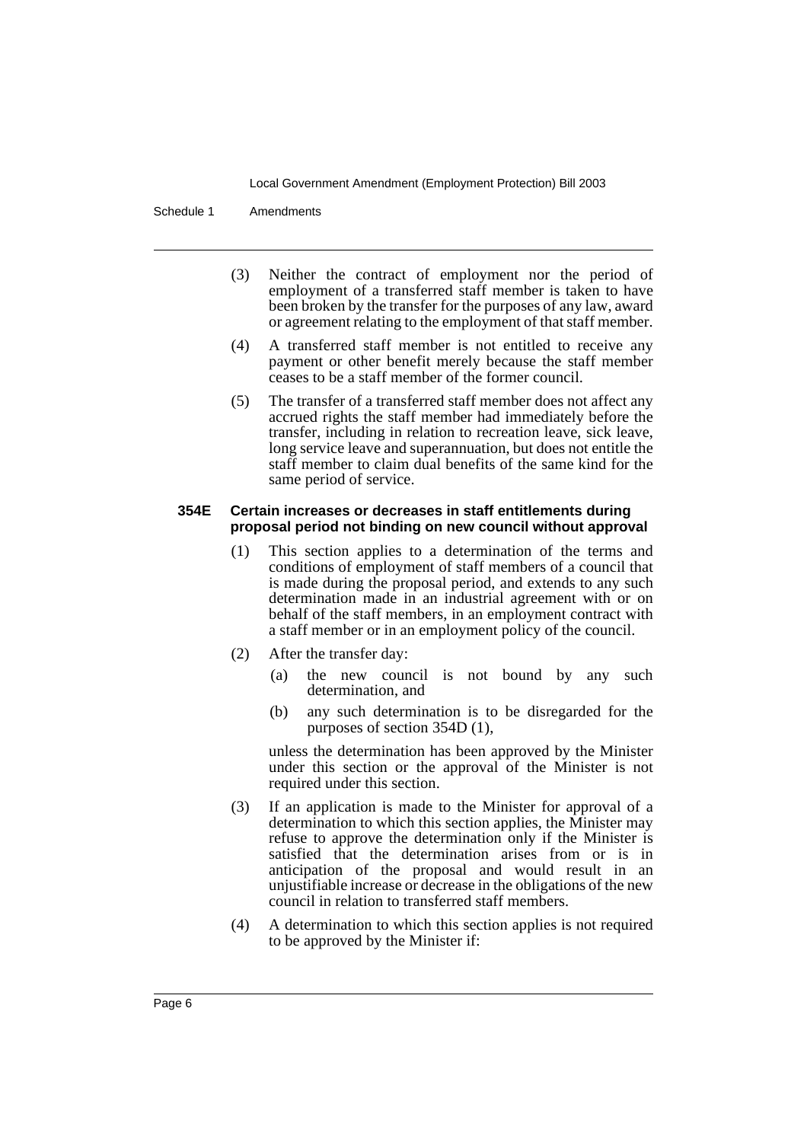Schedule 1 Amendments

- (3) Neither the contract of employment nor the period of employment of a transferred staff member is taken to have been broken by the transfer for the purposes of any law, award or agreement relating to the employment of that staff member.
- (4) A transferred staff member is not entitled to receive any payment or other benefit merely because the staff member ceases to be a staff member of the former council.
- (5) The transfer of a transferred staff member does not affect any accrued rights the staff member had immediately before the transfer, including in relation to recreation leave, sick leave, long service leave and superannuation, but does not entitle the staff member to claim dual benefits of the same kind for the same period of service.

#### **354E Certain increases or decreases in staff entitlements during proposal period not binding on new council without approval**

- (1) This section applies to a determination of the terms and conditions of employment of staff members of a council that is made during the proposal period, and extends to any such determination made in an industrial agreement with or on behalf of the staff members, in an employment contract with a staff member or in an employment policy of the council.
- (2) After the transfer day:
	- (a) the new council is not bound by any such determination, and
	- (b) any such determination is to be disregarded for the purposes of section 354D (1),

unless the determination has been approved by the Minister under this section or the approval of the Minister is not required under this section.

- (3) If an application is made to the Minister for approval of a determination to which this section applies, the Minister may refuse to approve the determination only if the Minister is satisfied that the determination arises from or is in anticipation of the proposal and would result in an unjustifiable increase or decrease in the obligations of the new council in relation to transferred staff members.
- (4) A determination to which this section applies is not required to be approved by the Minister if: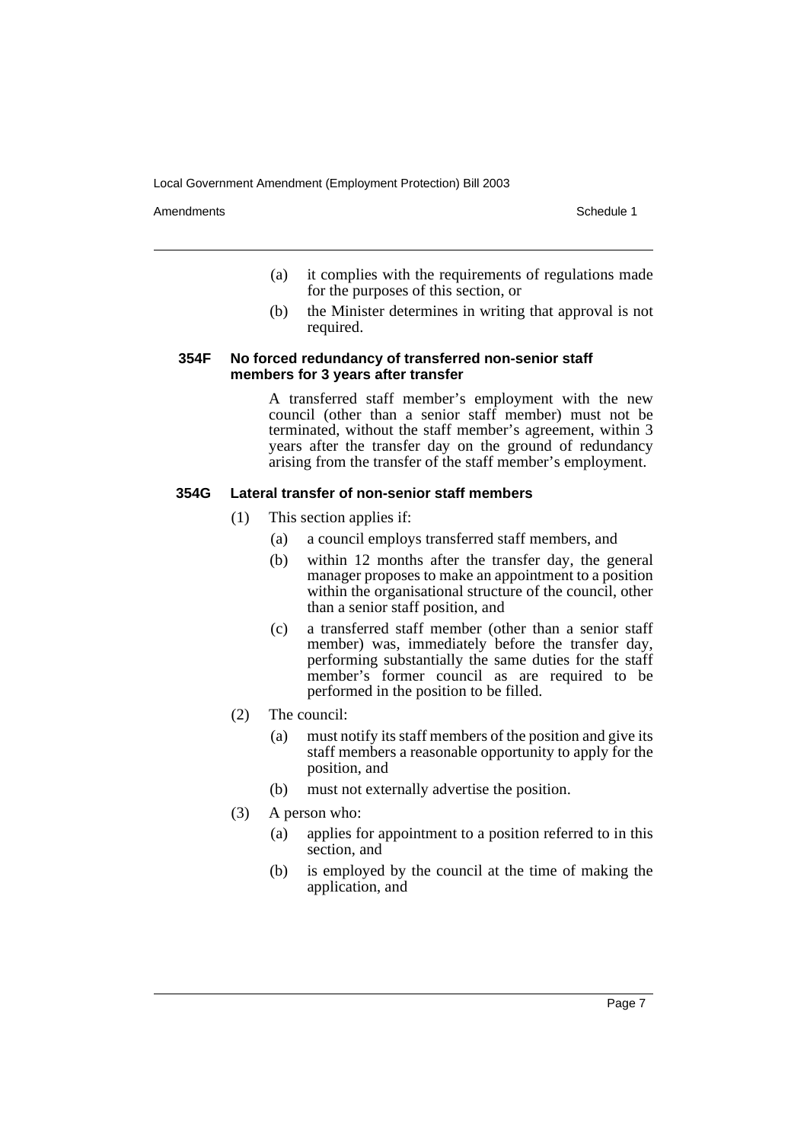Amendments **Schedule 1** and the set of the set of the set of the set of the set of the set of the set of the set of the set of the set of the set of the set of the set of the set of the set of the set of the set of the set

- (a) it complies with the requirements of regulations made for the purposes of this section, or
- (b) the Minister determines in writing that approval is not required.

#### **354F No forced redundancy of transferred non-senior staff members for 3 years after transfer**

A transferred staff member's employment with the new council (other than a senior staff member) must not be terminated, without the staff member's agreement, within 3 years after the transfer day on the ground of redundancy arising from the transfer of the staff member's employment.

#### **354G Lateral transfer of non-senior staff members**

- (1) This section applies if:
	- (a) a council employs transferred staff members, and
	- (b) within 12 months after the transfer day, the general manager proposes to make an appointment to a position within the organisational structure of the council, other than a senior staff position, and
	- (c) a transferred staff member (other than a senior staff member) was, immediately before the transfer day, performing substantially the same duties for the staff member's former council as are required to be performed in the position to be filled.
- (2) The council:
	- (a) must notify its staff members of the position and give its staff members a reasonable opportunity to apply for the position, and
	- (b) must not externally advertise the position.
- (3) A person who:
	- (a) applies for appointment to a position referred to in this section, and
	- (b) is employed by the council at the time of making the application, and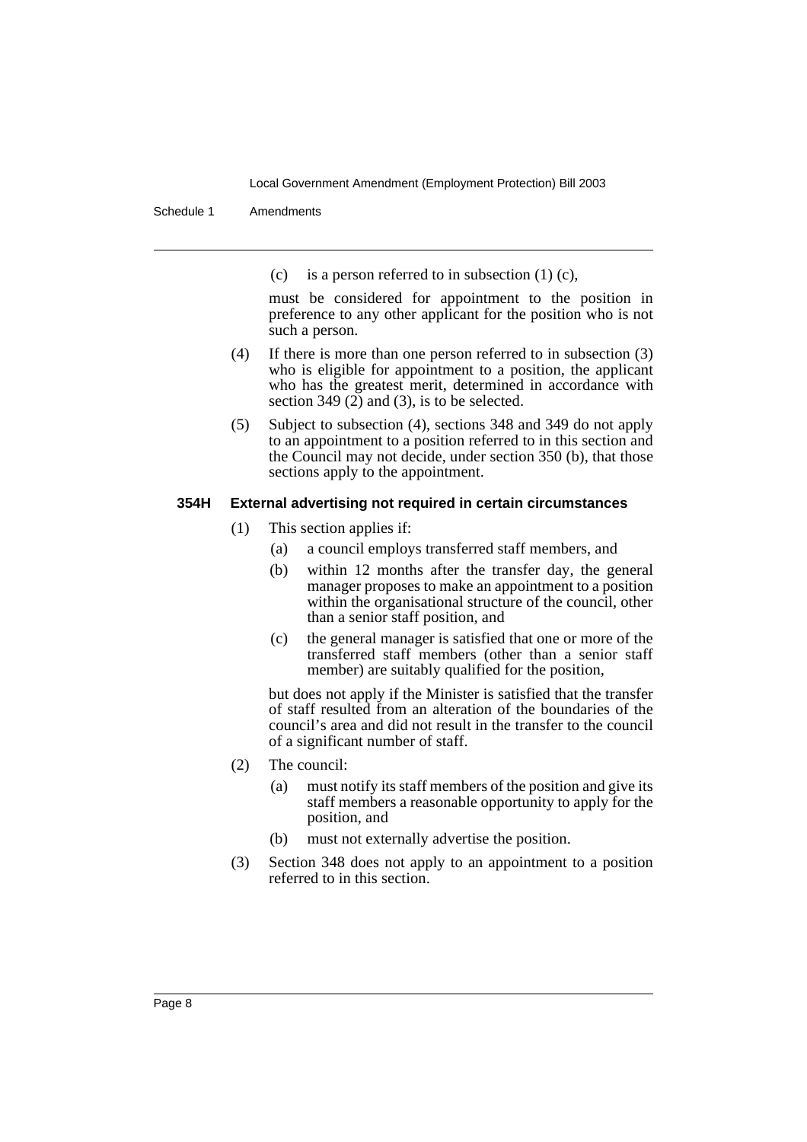Schedule 1 Amendments

(c) is a person referred to in subsection  $(1)$  (c),

must be considered for appointment to the position in preference to any other applicant for the position who is not such a person.

- (4) If there is more than one person referred to in subsection (3) who is eligible for appointment to a position, the applicant who has the greatest merit, determined in accordance with section 349  $(2)$  and  $(3)$ , is to be selected.
- (5) Subject to subsection (4), sections 348 and 349 do not apply to an appointment to a position referred to in this section and the Council may not decide, under section 350 (b), that those sections apply to the appointment.

#### **354H External advertising not required in certain circumstances**

- (1) This section applies if:
	- (a) a council employs transferred staff members, and
	- (b) within 12 months after the transfer day, the general manager proposes to make an appointment to a position within the organisational structure of the council, other than a senior staff position, and
	- (c) the general manager is satisfied that one or more of the transferred staff members (other than a senior staff member) are suitably qualified for the position,

but does not apply if the Minister is satisfied that the transfer of staff resulted from an alteration of the boundaries of the council's area and did not result in the transfer to the council of a significant number of staff.

- (2) The council:
	- (a) must notify its staff members of the position and give its staff members a reasonable opportunity to apply for the position, and
	- (b) must not externally advertise the position.
- (3) Section 348 does not apply to an appointment to a position referred to in this section.